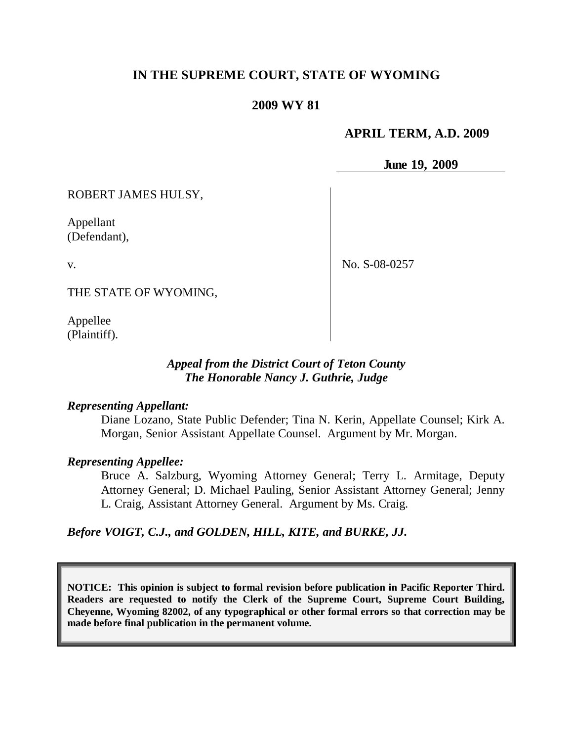# **IN THE SUPREME COURT, STATE OF WYOMING**

## **2009 WY 81**

## **APRIL TERM, A.D. 2009**

**June 19, 2009**

ROBERT JAMES HULSY,

Appellant (Defendant),

v.

No. S-08-0257

THE STATE OF WYOMING,

Appellee (Plaintiff).

## *Appeal from the District Court of Teton County The Honorable Nancy J. Guthrie, Judge*

### *Representing Appellant:*

Diane Lozano, State Public Defender; Tina N. Kerin, Appellate Counsel; Kirk A. Morgan, Senior Assistant Appellate Counsel. Argument by Mr. Morgan.

#### *Representing Appellee:*

Bruce A. Salzburg, Wyoming Attorney General; Terry L. Armitage, Deputy Attorney General; D. Michael Pauling, Senior Assistant Attorney General; Jenny L. Craig, Assistant Attorney General. Argument by Ms. Craig.

*Before VOIGT, C.J., and GOLDEN, HILL, KITE, and BURKE, JJ.*

**NOTICE: This opinion is subject to formal revision before publication in Pacific Reporter Third. Readers are requested to notify the Clerk of the Supreme Court, Supreme Court Building, Cheyenne, Wyoming 82002, of any typographical or other formal errors so that correction may be made before final publication in the permanent volume.**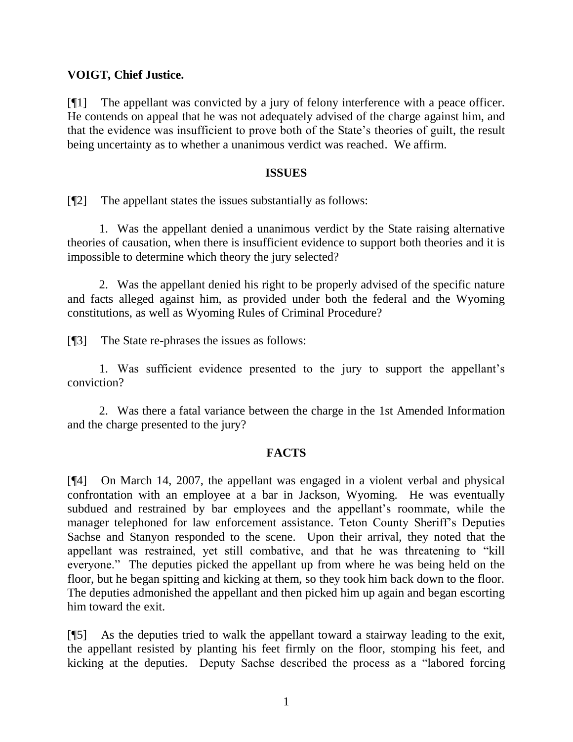## **VOIGT, Chief Justice.**

[¶1] The appellant was convicted by a jury of felony interference with a peace officer. He contends on appeal that he was not adequately advised of the charge against him, and that the evidence was insufficient to prove both of the State's theories of guilt, the result being uncertainty as to whether a unanimous verdict was reached. We affirm.

#### **ISSUES**

[¶2] The appellant states the issues substantially as follows:

1. Was the appellant denied a unanimous verdict by the State raising alternative theories of causation, when there is insufficient evidence to support both theories and it is impossible to determine which theory the jury selected?

2. Was the appellant denied his right to be properly advised of the specific nature and facts alleged against him, as provided under both the federal and the Wyoming constitutions, as well as Wyoming Rules of Criminal Procedure?

[¶3] The State re-phrases the issues as follows:

1. Was sufficient evidence presented to the jury to support the appellant's conviction?

2. Was there a fatal variance between the charge in the 1st Amended Information and the charge presented to the jury?

### **FACTS**

[¶4] On March 14, 2007, the appellant was engaged in a violent verbal and physical confrontation with an employee at a bar in Jackson, Wyoming. He was eventually subdued and restrained by bar employees and the appellant's roommate, while the manager telephoned for law enforcement assistance. Teton County Sheriff's Deputies Sachse and Stanyon responded to the scene. Upon their arrival, they noted that the appellant was restrained, yet still combative, and that he was threatening to "kill" everyone." The deputies picked the appellant up from where he was being held on the floor, but he began spitting and kicking at them, so they took him back down to the floor. The deputies admonished the appellant and then picked him up again and began escorting him toward the exit.

[¶5] As the deputies tried to walk the appellant toward a stairway leading to the exit, the appellant resisted by planting his feet firmly on the floor, stomping his feet, and kicking at the deputies. Deputy Sachse described the process as a "labored forcing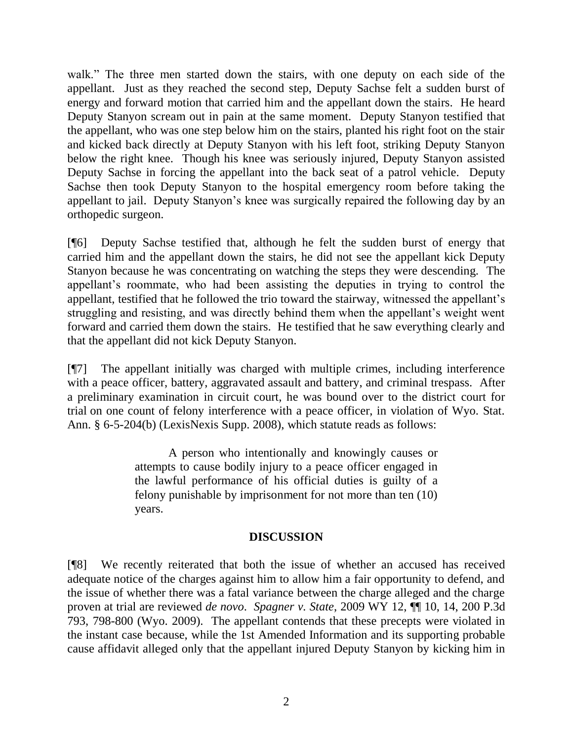walk." The three men started down the stairs, with one deputy on each side of the appellant. Just as they reached the second step, Deputy Sachse felt a sudden burst of energy and forward motion that carried him and the appellant down the stairs. He heard Deputy Stanyon scream out in pain at the same moment. Deputy Stanyon testified that the appellant, who was one step below him on the stairs, planted his right foot on the stair and kicked back directly at Deputy Stanyon with his left foot, striking Deputy Stanyon below the right knee. Though his knee was seriously injured, Deputy Stanyon assisted Deputy Sachse in forcing the appellant into the back seat of a patrol vehicle. Deputy Sachse then took Deputy Stanyon to the hospital emergency room before taking the appellant to jail. Deputy Stanyon's knee was surgically repaired the following day by an orthopedic surgeon.

[¶6] Deputy Sachse testified that, although he felt the sudden burst of energy that carried him and the appellant down the stairs, he did not see the appellant kick Deputy Stanyon because he was concentrating on watching the steps they were descending. The appellant's roommate, who had been assisting the deputies in trying to control the appellant, testified that he followed the trio toward the stairway, witnessed the appellant's struggling and resisting, and was directly behind them when the appellant's weight went forward and carried them down the stairs. He testified that he saw everything clearly and that the appellant did not kick Deputy Stanyon.

[¶7] The appellant initially was charged with multiple crimes, including interference with a peace officer, battery, aggravated assault and battery, and criminal trespass. After a preliminary examination in circuit court, he was bound over to the district court for trial on one count of felony interference with a peace officer, in violation of Wyo. Stat. Ann. § 6-5-204(b) (LexisNexis Supp. 2008), which statute reads as follows:

> A person who intentionally and knowingly causes or attempts to cause bodily injury to a peace officer engaged in the lawful performance of his official duties is guilty of a felony punishable by imprisonment for not more than ten (10) years.

### **DISCUSSION**

[¶8] We recently reiterated that both the issue of whether an accused has received adequate notice of the charges against him to allow him a fair opportunity to defend, and the issue of whether there was a fatal variance between the charge alleged and the charge proven at trial are reviewed *de novo*. *Spagner v. State*, 2009 WY 12, ¶¶ 10, 14, 200 P.3d 793, 798-800 (Wyo. 2009). The appellant contends that these precepts were violated in the instant case because, while the 1st Amended Information and its supporting probable cause affidavit alleged only that the appellant injured Deputy Stanyon by kicking him in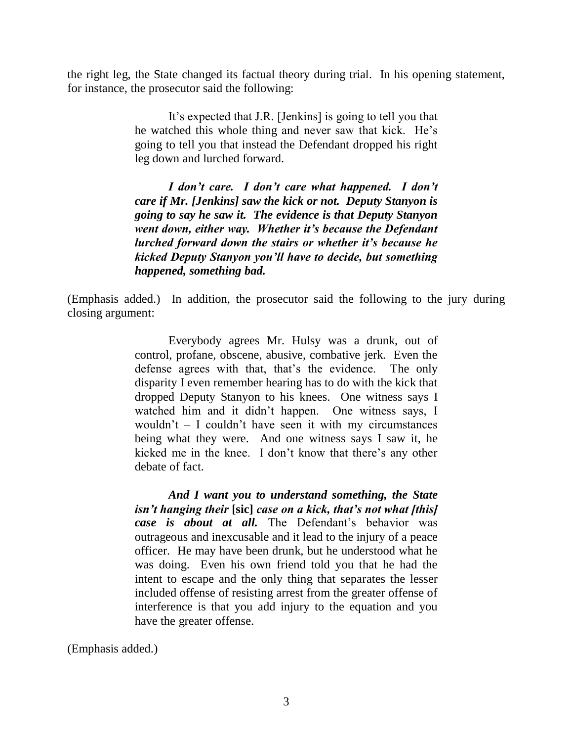the right leg, the State changed its factual theory during trial. In his opening statement, for instance, the prosecutor said the following:

> It's expected that J.R. [Jenkins] is going to tell you that he watched this whole thing and never saw that kick. He's going to tell you that instead the Defendant dropped his right leg down and lurched forward.

> *I don't care. I don't care what happened. I don't care if Mr. [Jenkins] saw the kick or not. Deputy Stanyon is going to say he saw it. The evidence is that Deputy Stanyon went down, either way. Whether it's because the Defendant lurched forward down the stairs or whether it's because he kicked Deputy Stanyon you'll have to decide, but something happened, something bad.*

(Emphasis added.) In addition, the prosecutor said the following to the jury during closing argument:

> Everybody agrees Mr. Hulsy was a drunk, out of control, profane, obscene, abusive, combative jerk. Even the defense agrees with that, that's the evidence. The only disparity I even remember hearing has to do with the kick that dropped Deputy Stanyon to his knees. One witness says I watched him and it didn't happen. One witness says, I wouldn't – I couldn't have seen it with my circumstances being what they were. And one witness says I saw it, he kicked me in the knee. I don't know that there's any other debate of fact.

> *And I want you to understand something, the State isn't hanging their* **[sic]** *case on a kick, that's not what [this] case is about at all.* The Defendant's behavior was outrageous and inexcusable and it lead to the injury of a peace officer. He may have been drunk, but he understood what he was doing. Even his own friend told you that he had the intent to escape and the only thing that separates the lesser included offense of resisting arrest from the greater offense of interference is that you add injury to the equation and you have the greater offense.

(Emphasis added.)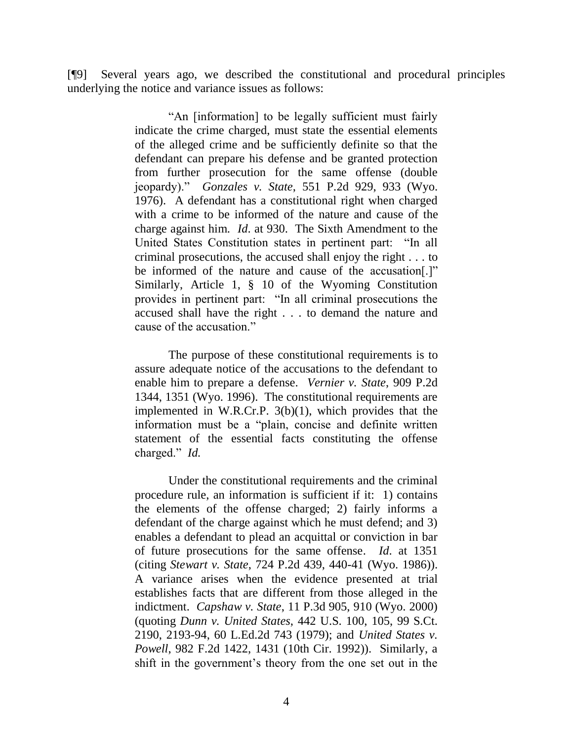[¶9] Several years ago, we described the constitutional and procedural principles underlying the notice and variance issues as follows:

> "An [information] to be legally sufficient must fairly indicate the crime charged, must state the essential elements of the alleged crime and be sufficiently definite so that the defendant can prepare his defense and be granted protection from further prosecution for the same offense (double jeopardy).‖ *Gonzales v. State*, 551 P.2d 929, 933 (Wyo. 1976). A defendant has a constitutional right when charged with a crime to be informed of the nature and cause of the charge against him. *Id*. at 930. The Sixth Amendment to the United States Constitution states in pertinent part: "In all criminal prosecutions, the accused shall enjoy the right . . . to be informed of the nature and cause of the accusation[.]" Similarly, Article 1, § 10 of the Wyoming Constitution provides in pertinent part: "In all criminal prosecutions the accused shall have the right . . . to demand the nature and cause of the accusation."

> The purpose of these constitutional requirements is to assure adequate notice of the accusations to the defendant to enable him to prepare a defense. *Vernier v. State*, 909 P.2d 1344, 1351 (Wyo. 1996). The constitutional requirements are implemented in W.R.Cr.P. 3(b)(1), which provides that the information must be a "plain, concise and definite written statement of the essential facts constituting the offense charged." *Id.*

> Under the constitutional requirements and the criminal procedure rule, an information is sufficient if it: 1) contains the elements of the offense charged; 2) fairly informs a defendant of the charge against which he must defend; and 3) enables a defendant to plead an acquittal or conviction in bar of future prosecutions for the same offense. *Id*. at 1351 (citing *Stewart v. State*, 724 P.2d 439, 440-41 (Wyo. 1986)). A variance arises when the evidence presented at trial establishes facts that are different from those alleged in the indictment. *Capshaw v. State*, 11 P.3d 905, 910 (Wyo. 2000) (quoting *Dunn v. United States*, 442 U.S. 100, 105, 99 S.Ct. 2190, 2193-94, 60 L.Ed.2d 743 (1979); and *United States v. Powell*, 982 F.2d 1422, 1431 (10th Cir. 1992)). Similarly, a shift in the government's theory from the one set out in the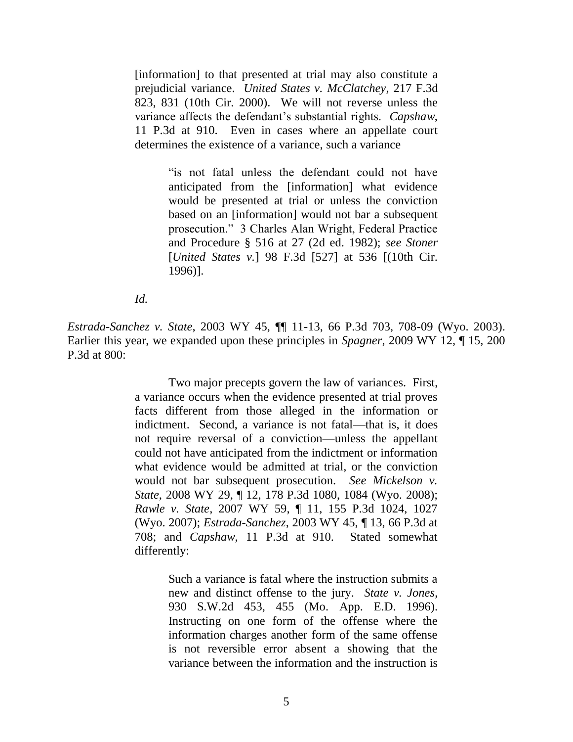[information] to that presented at trial may also constitute a prejudicial variance. *United States v. McClatchey*, 217 F.3d 823, 831 (10th Cir. 2000). We will not reverse unless the variance affects the defendant's substantial rights. *Capshaw*, 11 P.3d at 910. Even in cases where an appellate court determines the existence of a variance, such a variance

> "is not fatal unless the defendant could not have anticipated from the [information] what evidence would be presented at trial or unless the conviction based on an [information] would not bar a subsequent prosecution.‖ 3 Charles Alan Wright, Federal Practice and Procedure § 516 at 27 (2d ed. 1982); *see Stoner* [*United States v.*] 98 F.3d [527] at 536 [(10th Cir. 1996)].

*Id.*

*Estrada-Sanchez v. State*, 2003 WY 45, ¶¶ 11-13, 66 P.3d 703, 708-09 (Wyo. 2003). Earlier this year, we expanded upon these principles in *Spagner*, 2009 WY 12, ¶ 15, 200 P.3d at 800:

> Two major precepts govern the law of variances. First, a variance occurs when the evidence presented at trial proves facts different from those alleged in the information or indictment. Second, a variance is not fatal—that is, it does not require reversal of a conviction—unless the appellant could not have anticipated from the indictment or information what evidence would be admitted at trial, or the conviction would not bar subsequent prosecution. *See Mickelson v. State*, 2008 WY 29, ¶ 12, 178 P.3d 1080, 1084 (Wyo. 2008); *Rawle v. State*, 2007 WY 59, ¶ 11, 155 P.3d 1024, 1027 (Wyo. 2007); *Estrada-Sanchez*, 2003 WY 45, ¶ 13, 66 P.3d at 708; and *Capshaw*, 11 P.3d at 910. Stated somewhat differently:

> > Such a variance is fatal where the instruction submits a new and distinct offense to the jury. *State v. Jones*, 930 S.W.2d 453, 455 (Mo. App. E.D. 1996). Instructing on one form of the offense where the information charges another form of the same offense is not reversible error absent a showing that the variance between the information and the instruction is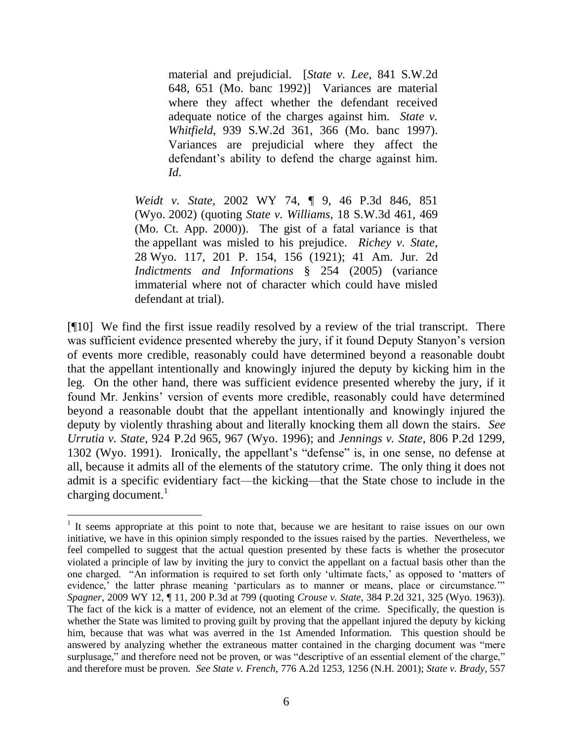material and prejudicial. [*State v. Lee*, 841 S.W.2d 648, 651 (Mo. banc 1992)] Variances are material where they affect whether the defendant received adequate notice of the charges against him. *State v. Whitfield*, 939 S.W.2d 361, 366 (Mo. banc 1997). Variances are prejudicial where they affect the defendant's ability to defend the charge against him. *Id*.

*Weidt v. State*, 2002 WY 74, ¶ 9, 46 P.3d 846, 851 (Wyo. 2002) (quoting *State v. Williams*, 18 S.W.3d 461, 469 (Mo. Ct. App. 2000)). The gist of a fatal variance is that the appellant was misled to his prejudice. *Richey v. State*, 28 Wyo. 117, 201 P. 154, 156 (1921); 41 Am. Jur. 2d *Indictments and Informations* § 254 (2005) (variance immaterial where not of character which could have misled defendant at trial).

[¶10] We find the first issue readily resolved by a review of the trial transcript. There was sufficient evidence presented whereby the jury, if it found Deputy Stanyon's version of events more credible, reasonably could have determined beyond a reasonable doubt that the appellant intentionally and knowingly injured the deputy by kicking him in the leg. On the other hand, there was sufficient evidence presented whereby the jury, if it found Mr. Jenkins' version of events more credible, reasonably could have determined beyond a reasonable doubt that the appellant intentionally and knowingly injured the deputy by violently thrashing about and literally knocking them all down the stairs. *See Urrutia v. State*, 924 P.2d 965, 967 (Wyo. 1996); and *Jennings v. State*, 806 P.2d 1299, 1302 (Wyo. 1991). Ironically, the appellant's "defense" is, in one sense, no defense at all, because it admits all of the elements of the statutory crime. The only thing it does not admit is a specific evidentiary fact—the kicking—that the State chose to include in the charging document. $<sup>1</sup>$ </sup>

<sup>&</sup>lt;sup>1</sup> It seems appropriate at this point to note that, because we are hesitant to raise issues on our own initiative, we have in this opinion simply responded to the issues raised by the parties. Nevertheless, we feel compelled to suggest that the actual question presented by these facts is whether the prosecutor violated a principle of law by inviting the jury to convict the appellant on a factual basis other than the one charged. "An information is required to set forth only 'ultimate facts,' as opposed to 'matters of evidence,' the latter phrase meaning 'particulars as to manner or means, place or circumstance.'" *Spagner*, 2009 WY 12, ¶ 11, 200 P.3d at 799 (quoting *Crouse v. State*, 384 P.2d 321, 325 (Wyo. 1963)). The fact of the kick is a matter of evidence, not an element of the crime. Specifically, the question is whether the State was limited to proving guilt by proving that the appellant injured the deputy by kicking him, because that was what was averred in the 1st Amended Information. This question should be answered by analyzing whether the extraneous matter contained in the charging document was "mere" surplusage," and therefore need not be proven, or was "descriptive of an essential element of the charge," and therefore must be proven. *See State v. French*, 776 A.2d 1253, 1256 (N.H. 2001); *State v. Brady*, 557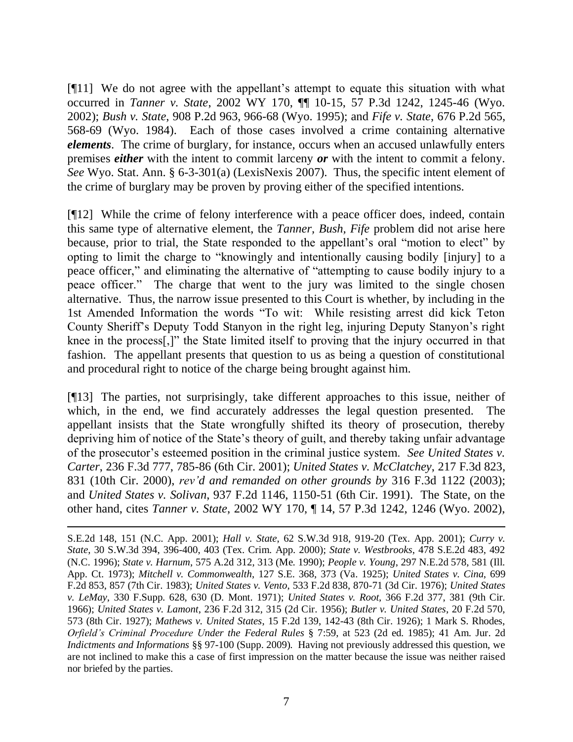[¶11] We do not agree with the appellant's attempt to equate this situation with what occurred in *Tanner v. State*, 2002 WY 170, ¶¶ 10-15, 57 P.3d 1242, 1245-46 (Wyo. 2002); *Bush v. State*, 908 P.2d 963, 966-68 (Wyo. 1995); and *Fife v. State*, 676 P.2d 565, 568-69 (Wyo. 1984). Each of those cases involved a crime containing alternative *elements*. The crime of burglary, for instance, occurs when an accused unlawfully enters premises *either* with the intent to commit larceny *or* with the intent to commit a felony. *See* Wyo. Stat. Ann. § 6-3-301(a) (LexisNexis 2007). Thus, the specific intent element of the crime of burglary may be proven by proving either of the specified intentions.

[¶12] While the crime of felony interference with a peace officer does, indeed, contain this same type of alternative element, the *Tanner, Bush, Fife* problem did not arise here because, prior to trial, the State responded to the appellant's oral "motion to elect" by opting to limit the charge to "knowingly and intentionally causing bodily [injury] to a peace officer," and eliminating the alternative of "attempting to cause bodily injury to a peace officer.‖ The charge that went to the jury was limited to the single chosen alternative. Thus, the narrow issue presented to this Court is whether, by including in the 1st Amended Information the words "To wit: While resisting arrest did kick Teton County Sheriff's Deputy Todd Stanyon in the right leg, injuring Deputy Stanyon's right knee in the process<sup>[1]</sup> the State limited itself to proving that the injury occurred in that fashion. The appellant presents that question to us as being a question of constitutional and procedural right to notice of the charge being brought against him.

[¶13] The parties, not surprisingly, take different approaches to this issue, neither of which, in the end, we find accurately addresses the legal question presented. The appellant insists that the State wrongfully shifted its theory of prosecution, thereby depriving him of notice of the State's theory of guilt, and thereby taking unfair advantage of the prosecutor's esteemed position in the criminal justice system. *See United States v. Carter*, 236 F.3d 777, 785-86 (6th Cir. 2001); *United States v. McClatchey*, 217 F.3d 823, 831 (10th Cir. 2000), *rev'd and remanded on other grounds by* 316 F.3d 1122 (2003); and *United States v. Solivan*, 937 F.2d 1146, 1150-51 (6th Cir. 1991). The State, on the other hand, cites *Tanner v. State*, 2002 WY 170, ¶ 14, 57 P.3d 1242, 1246 (Wyo. 2002),

S.E.2d 148, 151 (N.C. App. 2001); *Hall v. State*, 62 S.W.3d 918, 919-20 (Tex. App. 2001); *Curry v. State*, 30 S.W.3d 394, 396-400, 403 (Tex. Crim. App. 2000); *State v. Westbrooks*, 478 S.E.2d 483, 492 (N.C. 1996); *State v. Harnum*, 575 A.2d 312, 313 (Me. 1990); *People v. Young*, 297 N.E.2d 578, 581 (Ill. App. Ct. 1973); *Mitchell v. Commonwealth*, 127 S.E. 368, 373 (Va. 1925); *United States v. Cina*, 699 F.2d 853, 857 (7th Cir. 1983); *United States v. Vento*, 533 F.2d 838, 870-71 (3d Cir. 1976); *United States v. LeMay*, 330 F.Supp. 628, 630 (D. Mont. 1971); *United States v. Root*, 366 F.2d 377, 381 (9th Cir. 1966); *United States v. Lamont*, 236 F.2d 312, 315 (2d Cir. 1956); *Butler v. United States*, 20 F.2d 570, 573 (8th Cir. 1927); *Mathews v. United States*, 15 F.2d 139, 142-43 (8th Cir. 1926); 1 Mark S. Rhodes, *Orfield's Criminal Procedure Under the Federal Rules* § 7:59, at 523 (2d ed. 1985); 41 Am. Jur. 2d *Indictments and Informations* §§ 97-100 (Supp. 2009). Having not previously addressed this question, we are not inclined to make this a case of first impression on the matter because the issue was neither raised nor briefed by the parties.